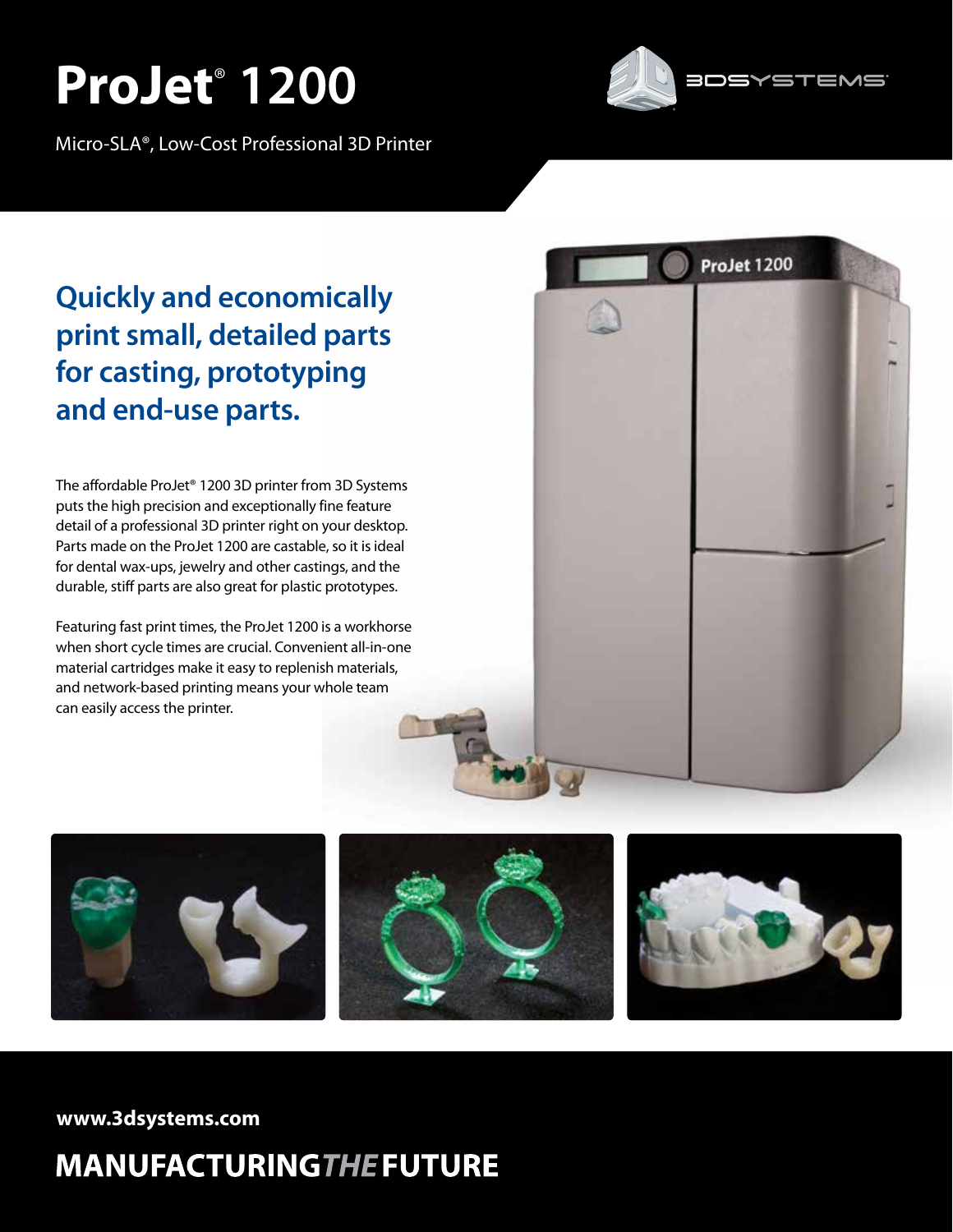# **ProJet**®  **1200**



Micro-SLA®, Low-Cost Professional 3D Printer

## **Quickly and economically print small, detailed parts for casting, prototyping and end-use parts.**

The affordable ProJet® 1200 3D printer from 3D Systems puts the high precision and exceptionally fine feature detail of a professional 3D printer right on your desktop. Parts made on the ProJet 1200 are castable, so it is ideal for dental wax-ups, jewelry and other castings, and the durable, stiff parts are also great for plastic prototypes.

Featuring fast print times, the ProJet 1200 is a workhorse when short cycle times are crucial. Convenient all-in-one material cartridges make it easy to replenish materials, and network-based printing means your whole team can easily access the printer.





**www.3dsystems.com**

## **MANUFACTURINGTHE FUTURE**